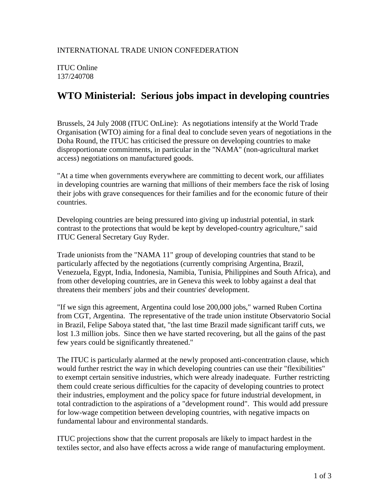ITUC Online 137/240708

## **WTO Ministerial: Serious jobs impact in developing countries**

Brussels, 24 July 2008 (ITUC OnLine): As negotiations intensify at the World Trade Organisation (WTO) aiming for a final deal to conclude seven years of negotiations in the Doha Round, the ITUC has criticised the pressure on developing countries to make disproportionate commitments, in particular in the "NAMA" (non-agricultural market access) negotiations on manufactured goods.

"At a time when governments everywhere are committing to decent work, our affiliates in developing countries are warning that millions of their members face the risk of losing their jobs with grave consequences for their families and for the economic future of their countries.

Developing countries are being pressured into giving up industrial potential, in stark contrast to the protections that would be kept by developed-country agriculture," said ITUC General Secretary Guy Ryder.

Trade unionists from the "NAMA 11" group of developing countries that stand to be particularly affected by the negotiations (currently comprising Argentina, Brazil, Venezuela, Egypt, India, Indonesia, Namibia, Tunisia, Philippines and South Africa), and from other developing countries, are in Geneva this week to lobby against a deal that threatens their members' jobs and their countries' development.

"If we sign this agreement, Argentina could lose 200,000 jobs," warned Ruben Cortina from CGT, Argentina. The representative of the trade union institute Observatorio Social in Brazil, Felipe Saboya stated that, "the last time Brazil made significant tariff cuts, we lost 1.3 million jobs. Since then we have started recovering, but all the gains of the past few years could be significantly threatened."

The ITUC is particularly alarmed at the newly proposed anti-concentration clause, which would further restrict the way in which developing countries can use their "flexibilities" to exempt certain sensitive industries, which were already inadequate. Further restricting them could create serious difficulties for the capacity of developing countries to protect their industries, employment and the policy space for future industrial development, in total contradiction to the aspirations of a "development round". This would add pressure for low-wage competition between developing countries, with negative impacts on fundamental labour and environmental standards.

ITUC projections show that the current proposals are likely to impact hardest in the textiles sector, and also have effects across a wide range of manufacturing employment.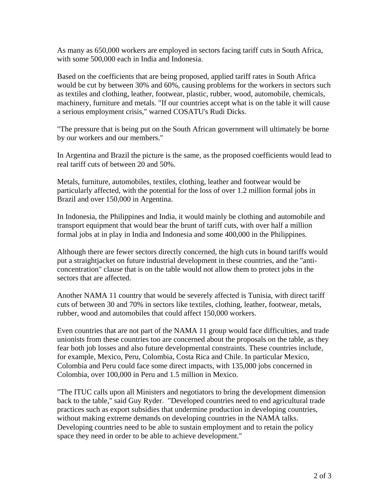As many as 650,000 workers are employed in sectors facing tariff cuts in South Africa, with some 500,000 each in India and Indonesia.

Based on the coefficients that are being proposed, applied tariff rates in South Africa would be cut by between 30% and 60%, causing problems for the workers in sectors such as textiles and clothing, leather, footwear, plastic, rubber, wood, automobile, chemicals, machinery, furniture and metals. "If our countries accept what is on the table it will cause a serious employment crisis," warned COSATU's Rudi Dicks.

"The pressure that is being put on the South African government will ultimately be borne by our workers and our members."

In Argentina and Brazil the picture is the same, as the proposed coefficients would lead to real tariff cuts of between 20 and 50%.

Metals, furniture, automobiles, textiles, clothing, leather and footwear would be particularly affected, with the potential for the loss of over 1.2 million formal jobs in Brazil and over 150,000 in Argentina.

In Indonesia, the Philippines and India, it would mainly be clothing and automobile and transport equipment that would bear the brunt of tariff cuts, with over half a million formal jobs at in play in India and Indonesia and some 400,000 in the Philippines.

Although there are fewer sectors directly concerned, the high cuts in bound tariffs would put a straightjacket on future industrial development in these countries, and the "anticoncentration" clause that is on the table would not allow them to protect jobs in the sectors that are affected.

Another NAMA 11 country that would be severely affected is Tunisia, with direct tariff cuts of between 30 and 70% in sectors like textiles, clothing, leather, footwear, metals, rubber, wood and automobiles that could affect 150,000 workers.

Even countries that are not part of the NAMA 11 group would face difficulties, and trade unionists from these countries too are concerned about the proposals on the table, as they fear both job losses and also future developmental constraints. These countries include, for example, Mexico, Peru, Colombia, Costa Rica and Chile. In particular Mexico, Colombia and Peru could face some direct impacts, with 135,000 jobs concerned in Colombia, over 100,000 in Peru and 1.5 million in Mexico.

"The ITUC calls upon all Ministers and negotiators to bring the development dimension back to the table," said Guy Ryder. "Developed countries need to end agricultural trade practices such as export subsidies that undermine production in developing countries, without making extreme demands on developing countries in the NAMA talks. Developing countries need to be able to sustain employment and to retain the policy space they need in order to be able to achieve development."